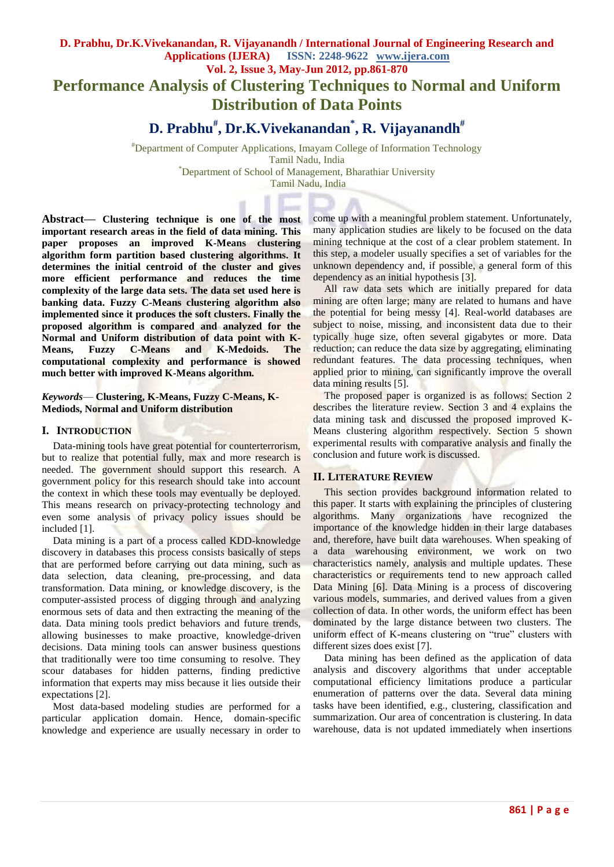# **D. Prabhu, Dr.K.Vivekanandan, R. Vijayanandh / International Journal of Engineering Research and Applications (IJERA) ISSN: 2248-9622 www.ijera.com Vol. 2, Issue 3, May-Jun 2012, pp.861-870 Performance Analysis of Clustering Techniques to Normal and Uniform Distribution of Data Points**

# **D. Prabhu# , Dr.K.Vivekanandan\* , R. Vijayanandh#**

#Department of Computer Applications, Imayam College of Information Technology Tamil Nadu, India \*Department of School of Management, Bharathiar University

Tamil Nadu, India

**Abstract***—* **Clustering technique is one of the most important research areas in the field of data mining. This paper proposes an improved K-Means clustering algorithm form partition based clustering algorithms. It determines the initial centroid of the cluster and gives more efficient performance and reduces the time complexity of the large data sets. The data set used here is banking data. Fuzzy C-Means clustering algorithm also implemented since it produces the soft clusters. Finally the proposed algorithm is compared and analyzed for the Normal and Uniform distribution of data point with K-Means, Fuzzy C-Means and K-Medoids. The computational complexity and performance is showed much better with improved K-Means algorithm.**

#### *Keywords*— **Clustering, K-Means, Fuzzy C-Means, K-Mediods, Normal and Uniform distribution**

#### **I. INTRODUCTION**

Data-mining tools have great potential for counterterrorism, but to realize that potential fully, max and more research is needed. The government should support this research. A government policy for this research should take into account the context in which these tools may eventually be deployed. This means research on privacy-protecting technology and even some analysis of privacy policy issues should be included [1].

Data mining is a part of a process called KDD-knowledge discovery in databases this process consists basically of steps that are performed before carrying out data mining, such as data selection, data cleaning, pre-processing, and data transformation. Data mining, or knowledge discovery, is the computer-assisted process of digging through and analyzing enormous sets of data and then extracting the meaning of the data. Data mining tools predict behaviors and future trends, allowing businesses to make proactive, knowledge-driven decisions. Data mining tools can answer business questions that traditionally were too time consuming to resolve. They scour databases for hidden patterns, finding predictive information that experts may miss because it lies outside their expectations [2].

Most data-based modeling studies are performed for a particular application domain. Hence, domain-specific knowledge and experience are usually necessary in order to come up with a meaningful problem statement. Unfortunately, many application studies are likely to be focused on the data mining technique at the cost of a clear problem statement. In this step, a modeler usually specifies a set of variables for the unknown dependency and, if possible, a general form of this dependency as an initial hypothesis [3].

All raw data sets which are initially prepared for data mining are often large; many are related to humans and have the potential for being messy [4]. Real-world databases are subject to noise, missing, and inconsistent data due to their typically huge size, often several gigabytes or more. Data reduction; can reduce the data size by aggregating, eliminating redundant features. The data processing techniques, when applied prior to mining, can significantly improve the overall data mining results [5].

The proposed paper is organized is as follows: Section 2 describes the literature review. Section 3 and 4 explains the data mining task and discussed the proposed improved K-Means clustering algorithm respectively. Section 5 shown experimental results with comparative analysis and finally the conclusion and future work is discussed.

## **II. LITERATURE REVIEW**

This section provides background information related to this paper. It starts with explaining the principles of clustering algorithms. Many organizations have recognized the importance of the knowledge hidden in their large databases and, therefore, have built data warehouses. When speaking of a data warehousing environment, we work on two characteristics namely, analysis and multiple updates. These characteristics or requirements tend to new approach called Data Mining [6]. Data Mining is a process of discovering various models, summaries, and derived values from a given collection of data. In other words, the uniform effect has been dominated by the large distance between two clusters. The uniform effect of K-means clustering on "true" clusters with different sizes does exist [7].

Data mining has been defined as the application of data analysis and discovery algorithms that under acceptable computational efficiency limitations produce a particular enumeration of patterns over the data. Several data mining tasks have been identified, e.g., clustering, classification and summarization. Our area of concentration is clustering. In data warehouse, data is not updated immediately when insertions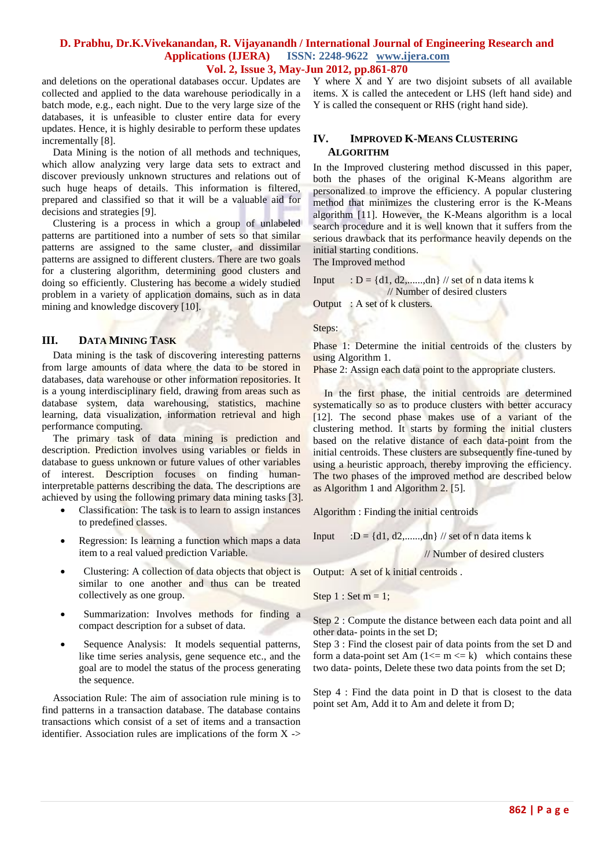and deletions on the operational databases occur. Updates are collected and applied to the data warehouse periodically in a batch mode, e.g., each night. Due to the very large size of the databases, it is unfeasible to cluster entire data for every updates. Hence, it is highly desirable to perform these updates incrementally [8].

Data Mining is the notion of all methods and techniques, which allow analyzing very large data sets to extract and discover previously unknown structures and relations out of such huge heaps of details. This information is filtered, prepared and classified so that it will be a valuable aid for decisions and strategies [9].

Clustering is a process in which a group of unlabeled patterns are partitioned into a number of sets so that similar patterns are assigned to the same cluster, and dissimilar patterns are assigned to different clusters. There are two goals for a clustering algorithm, determining good clusters and doing so efficiently. Clustering has become a widely studied problem in a variety of application domains, such as in data mining and knowledge discovery [10].

#### **III. DATA MINING TASK**

Data mining is the task of discovering interesting patterns from large amounts of data where the data to be stored in databases, data warehouse or other information repositories. It is a young interdisciplinary field, drawing from areas such as database system, data warehousing, statistics, machine learning, data visualization, information retrieval and high performance computing.

The primary task of data mining is prediction and description. Prediction involves using variables or fields in database to guess unknown or future values of other variables of interest. Description focuses on finding humaninterpretable patterns describing the data. The descriptions are achieved by using the following primary data mining tasks [3].

- Classification: The task is to learn to assign instances to predefined classes.
- Regression: Is learning a function which maps a data item to a real valued prediction Variable.
- Clustering: A collection of data objects that object is similar to one another and thus can be treated collectively as one group.
- Summarization: Involves methods for finding a compact description for a subset of data.
- Sequence Analysis: It models sequential patterns, like time series analysis, gene sequence etc., and the goal are to model the status of the process generating the sequence.

Association Rule: The aim of association rule mining is to find patterns in a transaction database. The database contains transactions which consist of a set of items and a transaction identifier. Association rules are implications of the form  $X \rightarrow$  Y where X and Y are two disjoint subsets of all available items. X is called the antecedent or LHS (left hand side) and Y is called the consequent or RHS (right hand side).

#### **IV. IMPROVED K-MEANS CLUSTERING ALGORITHM**

In the Improved clustering method discussed in this paper, both the phases of the original K-Means algorithm are personalized to improve the efficiency. A popular clustering method that minimizes the clustering error is the K-Means algorithm [11]. However, the K-Means algorithm is a local search procedure and it is well known that it suffers from the serious drawback that its performance heavily depends on the initial starting conditions.

The Improved method

Input :  $D = \{d1, d2, \ldots, dn\}$  // set of n data items k // Number of desired clusters Output : A set of k clusters.

Steps:

Phase 1: Determine the initial centroids of the clusters by using Algorithm 1.

Phase 2: Assign each data point to the appropriate clusters.

In the first phase, the initial centroids are determined systematically so as to produce clusters with better accuracy [12]. The second phase makes use of a variant of the clustering method. It starts by forming the initial clusters based on the relative distance of each data-point from the initial centroids. These clusters are subsequently fine-tuned by using a heuristic approach, thereby improving the efficiency. The two phases of the improved method are described below as Algorithm 1 and Algorithm 2. [5].

Algorithm : Finding the initial centroids

Input  $:D = \{d1, d2, \ldots, dn\}$  // set of n data items k

// Number of desired clusters

Output: A set of k initial centroids .

Step  $1:$  Set  $m = 1$ ;

Step 2 : Compute the distance between each data point and all other data- points in the set D;

Step 3 : Find the closest pair of data points from the set D and form a data-point set Am  $(1 \le m \le k)$  which contains these two data- points, Delete these two data points from the set D;

Step 4 : Find the data point in D that is closest to the data point set Am, Add it to Am and delete it from D;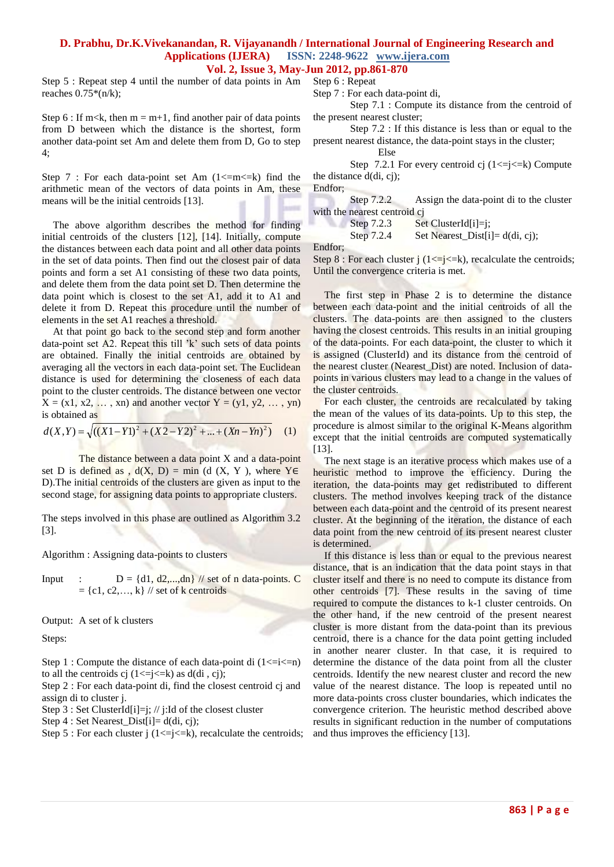Step 5 : Repeat step 4 until the number of data points in Am Step 6 : Repeat reaches  $0.75*(n/k);$ 

Step 6 : If m<k, then  $m = m+1$ , find another pair of data points from D between which the distance is the shortest, form another data-point set Am and delete them from D, Go to step 4;

Step 7 : For each data-point set Am  $(1\le m\le k)$  find the arithmetic mean of the vectors of data points in Am, these means will be the initial centroids [13].

The above algorithm describes the method for finding initial centroids of the clusters [12], [14]. Initially, compute the distances between each data point and all other data points in the set of data points. Then find out the closest pair of data points and form a set A1 consisting of these two data points, and delete them from the data point set D. Then determine the data point which is closest to the set A1, add it to A1 and delete it from D. Repeat this procedure until the number of elements in the set A1 reaches a threshold.

At that point go back to the second step and form another data-point set A2. Repeat this till 'k' such sets of data points are obtained. Finally the initial centroids are obtained by averaging all the vectors in each data-point set. The Euclidean distance is used for determining the closeness of each data point to the cluster centroids. The distance between one vector  $X = (x1, x2, \ldots, xn)$  and another vector  $Y = (y1, y2, \ldots, yn)$ is obtained as

$$
d(X,Y) = \sqrt{((X1 - Y1)^2 + (X2 - Y2)^2 + ... + (Xn - Yn)^2)}
$$
 (1)

The distance between a data point X and a data-point set D is defined as ,  $d(X, D) = min$  (d  $(X, Y)$ , where YE D).The initial centroids of the clusters are given as input to the second stage, for assigning data points to appropriate clusters.

The steps involved in this phase are outlined as Algorithm 3.2 [3].

Algorithm : Assigning data-points to clusters

Input : 
$$
D = \{d1, d2, \ldots, dn\}
$$
 // set of n data-points. C  
=  $\{c1, c2, \ldots, k\}$  // set of k centroids

Output: A set of k clusters

Steps:

Step 1 : Compute the distance of each data-point di  $(1\le i\le n)$ to all the centroids cj  $(1 \le i \le k)$  as  $d(\text{di}, \text{ci})$ ;

Step 2 : For each data-point di, find the closest centroid cj and assign di to cluster j.

Step 3 : Set ClusterId[i]=j; // j:Id of the closest cluster

Step 4 : Set Nearest\_Dist[i]= d(di, cj);

Step 5 : For each cluster j  $(1 \le i \le k)$ , recalculate the centroids;

Step 7 : For each data-point di,

Step 7.1 : Compute its distance from the centroid of the present nearest cluster;

Step 7.2 : If this distance is less than or equal to the present nearest distance, the data-point stays in the cluster;

Else

Step 7.2.1 For every centroid cj  $(1 \le i \le k)$  Compute the distance d(di, cj);

Endfor;

Step 7.2.2 Assign the data-point di to the cluster with the nearest centroid cj<br>Step 7.2.3 Se

 $Set$  ClusterId[i]=j; Step 7.2.4 Set Nearest\_Dist $[i] = d(di, cj);$ 

Endfor;

Step 8 : For each cluster j  $(1 \le j \le k)$ , recalculate the centroids; Until the convergence criteria is met.

The first step in Phase 2 is to determine the distance between each data-point and the initial centroids of all the clusters. The data-points are then assigned to the clusters having the closest centroids. This results in an initial grouping of the data-points. For each data-point, the cluster to which it is assigned (ClusterId) and its distance from the centroid of the nearest cluster (Nearest\_Dist) are noted. Inclusion of datapoints in various clusters may lead to a change in the values of the cluster centroids.

For each cluster, the centroids are recalculated by taking the mean of the values of its data-points. Up to this step, the procedure is almost similar to the original K-Means algorithm except that the initial centroids are computed systematically [13].

The next stage is an iterative process which makes use of a heuristic method to improve the efficiency. During the iteration, the data-points may get redistributed to different clusters. The method involves keeping track of the distance between each data-point and the centroid of its present nearest cluster. At the beginning of the iteration, the distance of each data point from the new centroid of its present nearest cluster is determined.

If this distance is less than or equal to the previous nearest distance, that is an indication that the data point stays in that cluster itself and there is no need to compute its distance from other centroids [7]. These results in the saving of time required to compute the distances to k-1 cluster centroids. On the other hand, if the new centroid of the present nearest cluster is more distant from the data-point than its previous centroid, there is a chance for the data point getting included in another nearer cluster. In that case, it is required to determine the distance of the data point from all the cluster centroids. Identify the new nearest cluster and record the new value of the nearest distance. The loop is repeated until no more data-points cross cluster boundaries, which indicates the convergence criterion. The heuristic method described above results in significant reduction in the number of computations and thus improves the efficiency [13].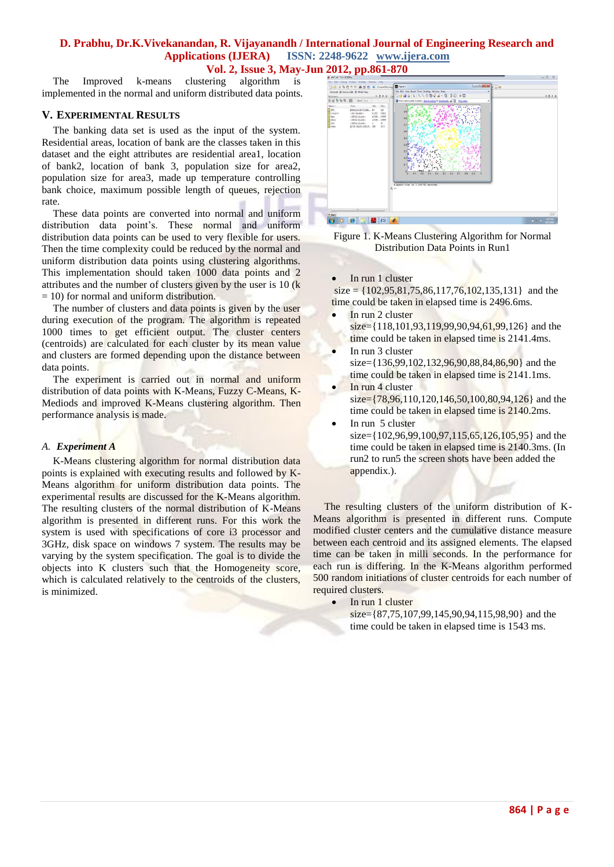The Improved k-means clustering algorithm is implemented in the normal and uniform distributed data points.

#### **V. EXPERIMENTAL RESULTS**

The banking data set is used as the input of the system. Residential areas, location of bank are the classes taken in this dataset and the eight attributes are residential area1, location of bank2, location of bank 3, population size for area2, population size for area3, made up temperature controlling bank choice, maximum possible length of queues, rejection rate.

These data points are converted into normal and uniform distribution data point's. These normal and uniform distribution data points can be used to very flexible for users. Then the time complexity could be reduced by the normal and uniform distribution data points using clustering algorithms. This implementation should taken 1000 data points and 2 attributes and the number of clusters given by the user is 10 (k  $= 10$ ) for normal and uniform distribution.

The number of clusters and data points is given by the user during execution of the program. The algorithm is repeated 1000 times to get efficient output. The cluster centers (centroids) are calculated for each cluster by its mean value and clusters are formed depending upon the distance between data points.

The experiment is carried out in normal and uniform distribution of data points with K-Means, Fuzzy C-Means, K-Mediods and improved K-Means clustering algorithm. Then performance analysis is made.

## *A. Experiment A*

K-Means clustering algorithm for normal distribution data points is explained with executing results and followed by K-Means algorithm for uniform distribution data points. The experimental results are discussed for the K-Means algorithm. The resulting clusters of the normal distribution of K-Means algorithm is presented in different runs. For this work the system is used with specifications of core i3 processor and 3GHz, disk space on windows 7 system. The results may be varying by the system specification. The goal is to divide the objects into K clusters such that the Homogeneity score, which is calculated relatively to the centroids of the clusters, is minimized.





• In run 1 cluster

 $size = \{102, 95, 81, 75, 86, 117, 76, 102, 135, 131\}$  and the time could be taken in elapsed time is 2496.6ms.

- In run 2 cluster  $size={118,101,93,119,99,90,94,61,99,126}$  and the time could be taken in elapsed time is 2141.4ms.
- In run 3 cluster  $size={136,99,102,132,96,90,88,84,86,90}$  and the time could be taken in elapsed time is 2141.1ms.
- In run 4 cluster  $size = \{78,96,110,120,146,50,100,80,94,126\}$  and the time could be taken in elapsed time is 2140.2ms.
- In run 5 cluster  $size={102,96,99,100,97,115,65,126,105,95}$  and the time could be taken in elapsed time is 2140.3ms. (In run2 to run5 the screen shots have been added the appendix.).

The resulting clusters of the uniform distribution of K-Means algorithm is presented in different runs. Compute modified cluster centers and the cumulative distance measure between each centroid and its assigned elements. The elapsed time can be taken in milli seconds. In the performance for each run is differing. In the K-Means algorithm performed 500 random initiations of cluster centroids for each number of required clusters.

• In run 1 cluster

 $size={87,75,107,99,145,90,94,115,98,90}$  and the time could be taken in elapsed time is 1543 ms.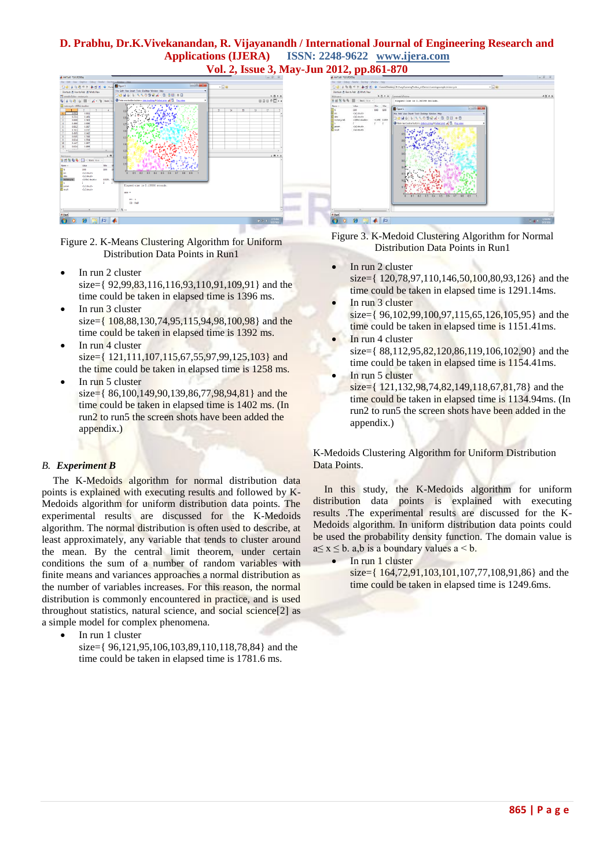## **D. Prabhu, Dr.K.Vivekanandan, R. Vijayanandh / International Journal of Engineering Research and Applications (IJERA) ISSN: 2248-9622 www.ijera.com**





Figure 2. K-Means Clustering Algorithm for Uniform Distribution Data Points in Run1

- In run 2 cluster size={ $92,99,83,116,116,93,110,91,109,91$ } and the time could be taken in elapsed time is 1396 ms.
- In run 3 cluster size= $\{108,88,130,74,95,115,94,98,100,98\}$  and the time could be taken in elapsed time is 1392 ms.
- In run 4 cluster size={ $121,111,107,115,67,55,97,99,125,103$ } and the time could be taken in elapsed time is 1258 ms.
- $\bullet$  In run 5 cluster  $size = \{ 86, 100, 149, 90, 139, 86, 77, 98, 94, 81 \}$  and the time could be taken in elapsed time is 1402 ms. (In run2 to run5 the screen shots have been added the appendix.)

## *B. Experiment B*

The K-Medoids algorithm for normal distribution data points is explained with executing results and followed by K-Medoids algorithm for uniform distribution data points. The experimental results are discussed for the K-Medoids algorithm. The normal distribution is often used to describe, at least approximately, any [variable](http://en.wikipedia.org/wiki/Random_variable) that tends to cluster around the mean. By the [central limit theorem,](http://en.wikipedia.org/wiki/Central_limit_theorem) under certain conditions the sum of a number of [random variables](http://en.wikipedia.org/wiki/Random_variables) with finite means and variances approaches a normal distribution as the number of variables increases. For this reason, the normal distribution is commonly encountered in practice, and is used throughout [statistics,](http://en.wikipedia.org/wiki/Statistics) [natural science,](http://en.wikipedia.org/wiki/Natural_science) and [social science\[2\]](http://en.wikipedia.org/wiki/Social_science) as a simple model for complex phenomena.

- In run 1 cluster
	- size={ 96,121,95,106,103,89,110,118,78,84} and the time could be taken in elapsed time is 1781.6 ms.





- In run 2 cluster size={ 120,78,97,110,146,50,100,80,93,126} and the time could be taken in elapsed time is 1291.14ms.
	- In run 3 cluster size={ $96,102,99,100,97,115,65,126,105,95$ } and the time could be taken in elapsed time is 1151.41ms.
- In run 4 cluster size={ 88,112,95,82,120,86,119,106,102,90} and the time could be taken in elapsed time is 1154.41ms.
- In run 5 cluster

size={ $121,132,98,74,82,149,118,67,81,78$ } and the time could be taken in elapsed time is 1134.94ms. (In run2 to run5 the screen shots have been added in the appendix.)

K-Medoids Clustering Algorithm for Uniform Distribution Data Points.

In this study, the K-Medoids algorithm for uniform distribution data points is explained with executing results .The experimental results are discussed for the K-Medoids algorithm. In uniform distribution data points could be used the probability density function. The domain value is  $a \le x \le b$ . a,b is a boundary values  $a \le b$ .

In run 1 cluster

 $size={ 164, 72, 91, 103, 101, 107, 77, 108, 91, 86 }$  and the time could be taken in elapsed time is 1249.6ms.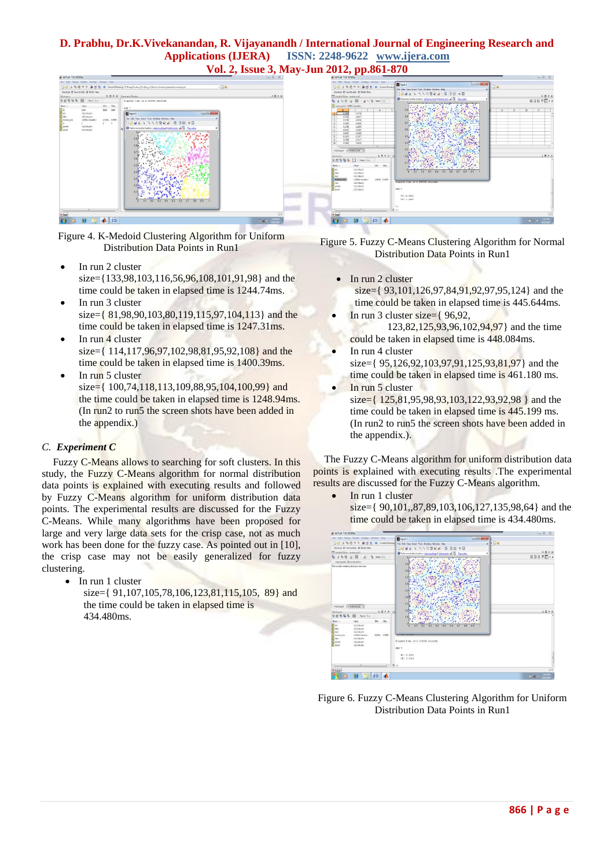# **D. Prabhu, Dr.K.Vivekanandan, R. Vijayanandh / International Journal of Engineering Research and Applications (IJERA) ISSN: 2248-9622 www.ijera.com**





Figure 4. K-Medoid Clustering Algorithm for Uniform Distribution Data Points in Run1

- In run 2 cluster size={133,98,103,116,56,96,108,101,91,98} and the time could be taken in elapsed time is 1244.74ms.
- In run 3 cluster size= $\{ 81,98,90,103,80,119,115,97,104,113 \}$  and the time could be taken in elapsed time is 1247.31ms.
- $\bullet$  In run 4 cluster size={ 114,117,96,97,102,98,81,95,92,108} and the time could be taken in elapsed time is 1400.39ms.
- In run 5 cluster
	- size={ $100,74,118,113,109,88,95,104,100,99$ } and the time could be taken in elapsed time is 1248.94ms. (In run2 to run5 the screen shots have been added in the appendix.)

## *C. Experiment C*

Fuzzy C-Means allows to searching for soft clusters. In this study, the Fuzzy C-Means algorithm for normal distribution data points is explained with executing results and followed by Fuzzy C-Means algorithm for uniform distribution data points. The experimental results are discussed for the Fuzzy C-Means. While many algorithms have been proposed for large and very large data sets for the crisp case, not as much work has been done for the fuzzy case. As pointed out in [10], the crisp case may not be easily generalized for fuzzy clustering.

- In run 1 cluster
	- size={ $91,107,105,78,106,123,81,115,105$ , 89} and the time could be taken in elapsed time is 434.480ms.



- In run 2 cluster size={ $93,101,126,97,84,91,92,97,95,124$ } and the time could be taken in elapsed time is 445.644ms.
- $\bullet$  In run 3 cluster size= $\{96,92,$ 123,82,125,93,96,102,94,97} and the time could be taken in elapsed time is 448.084ms.
- In run 4 cluster size={ 95,126,92,103,97,91,125,93,81,97} and the time could be taken in elapsed time is 461.180 ms.
- In run 5 cluster  $size={ 125,81,95,98,93,103,122,93,92,98 }$  and the time could be taken in elapsed time is 445.199 ms. (In run2 to run5 the screen shots have been added in the appendix.).

The Fuzzy C-Means algorithm for uniform distribution data points is explained with executing results .The experimental results are discussed for the Fuzzy C-Means algorithm.

> In run 1 cluster  $size={ 90,101,87,89,103,106,127,135,98,64}$  and the time could be taken in elapsed time is 434.480ms.



Figure 6. Fuzzy C-Means Clustering Algorithm for Uniform Distribution Data Points in Run1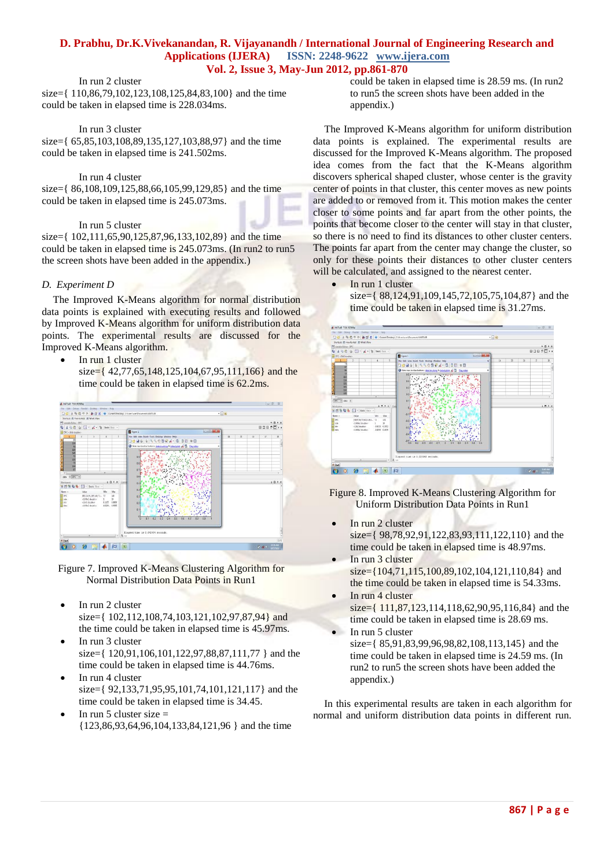## In run 2 cluster

size={ 110,86,79,102,123,108,125,84,83,100} and the time could be taken in elapsed time is 228.034ms.

#### In run 3 cluster

size={  $65,85,103,108,89,135,127,103,88,97$ } and the time could be taken in elapsed time is 241.502ms.

#### In run 4 cluster

size={ 86,108,109,125,88,66,105,99,129,85} and the time could be taken in elapsed time is 245.073ms.

#### In run 5 cluster

size={ $102,111,65,90,125,87,96,133,102,89$ } and the time could be taken in elapsed time is 245.073ms. (In run2 to run5 the screen shots have been added in the appendix.)

#### *D. Experiment D*

The Improved K-Means algorithm for normal distribution data points is explained with executing results and followed by Improved K-Means algorithm for uniform distribution data points. The experimental results are discussed for the Improved K-Means algorithm.

In run 1 cluster

size= $\{42,77,65,148,125,104,67,95,111,166\}$  and the time could be taken in elapsed time is 62.2ms.

| A MATLAS 7.80 (R2009e)    | for Life Court Festal Destry Wedne Hills |                |                                |                                                                                          |    |    |              |                  | $= 0$ $2$ |
|---------------------------|------------------------------------------|----------------|--------------------------------|------------------------------------------------------------------------------------------|----|----|--------------|------------------|-----------|
|                           |                                          |                |                                | $-100$<br>□ 日 る 司 ウ P 為 T 日 ● ConetDectory: Cillier/use/Decement/MATAB                   |    |    |              |                  |           |
|                           | Shortcuts (8) How to Add (8) What's New  |                |                                |                                                                                          |    |    |              |                  |           |
| To local in Editor-OPC    |                                          |                |                                |                                                                                          |    |    |              |                  | $-0.53$   |
|                           | Q 3 0 0 0 0 円 ≤ 1 m 2ml for -            |                |                                |                                                                                          |    |    |              | <b>BDB @D **</b> |           |
| EDIC clid double>         |                                          |                |                                | <b>IDIBILIA</b><br><b>D</b> Figure 1                                                     |    |    |              |                  |           |
|                           |                                          | ×              |                                | File Edit View Stort Tools Desisto Window Help<br>٠                                      | 14 | 15 | $\mathbf{u}$ | $\mathcal{V}$    | $_{31}$   |
| $^{12}$                   |                                          |                |                                | <b>DOMORATOSYA GOB #B</b>                                                                |    |    |              |                  |           |
| в<br>91                   |                                          |                |                                | O Note new toolse button: detailership & interioris of C Statester<br>$\bar{\mathbf{x}}$ |    |    |              |                  |           |
| m                         |                                          |                |                                |                                                                                          |    |    |              |                  |           |
| $rac{5}{4}$<br><b>Izt</b> |                                          |                |                                |                                                                                          |    |    |              |                  |           |
| w                         |                                          |                |                                | 39                                                                                       |    |    |              |                  |           |
| ï<br>٢<br>SI.             |                                          |                |                                | 13                                                                                       |    |    |              |                  |           |
| T.                        |                                          |                |                                |                                                                                          |    |    |              |                  |           |
| $\sim$                    |                                          |                |                                |                                                                                          |    |    |              |                  |           |
| $dm = \sqrt{TPC + 1}$     |                                          |                |                                | 35                                                                                       |    |    |              |                  |           |
| Morkrasce                 |                                          |                | 1 D A X Care                   | 0.5                                                                                      |    |    |              |                  | 1.7.7     |
| 35893                     | $\sqrt{s}$ = Stack line =                |                |                                | 64                                                                                       |    |    |              |                  |           |
| Name -                    | <b>Vilus</b>                             | Min            | May                            |                                                                                          |    |    |              |                  |           |
| Hane<br>Hane<br>Hane      | IRELANDING/25, 72<br><1004 double>       | x              | $10^{\circ}$<br>$32 - 12 = 12$ | 53.                                                                                      |    |    |              |                  |           |
|                           | cilid deubles                            | 8,1155 8,8906  |                                | 12                                                                                       |    |    |              |                  |           |
| <b>Hi</b> data            | caldude follitto                         | 4,8208  1,8905 |                                |                                                                                          |    |    |              |                  |           |
|                           |                                          |                |                                | $^{21}$                                                                                  |    |    |              |                  |           |
|                           |                                          |                |                                | ø                                                                                        |    |    |              |                  |           |
|                           |                                          |                |                                | 83<br>92<br>`o<br>93<br>84                                                               |    |    |              |                  |           |
|                           |                                          |                |                                |                                                                                          |    |    |              |                  |           |
|                           |                                          |                |                                | Elapsed time is 0.042494 seconds.                                                        |    |    |              |                  |           |
| M                         |                                          |                | $\mathbb{R}$ $\mathbb{R}$ >>   |                                                                                          |    |    |              |                  |           |
| 4 Start                   |                                          |                |                                |                                                                                          |    |    |              |                  |           |
|                           | ص                                        |                | 担<br> X                        |                                                                                          |    |    |              | $-8 - 44$        |           |
|                           |                                          |                |                                |                                                                                          |    |    |              |                  | 1/17/2010 |

- Figure 7. Improved K-Means Clustering Algorithm for Normal Distribution Data Points in Run1
- In run 2 cluster size={ $102,112,108,74,103,121,102,97,87,94$ } and the time could be taken in elapsed time is 45.97ms.
- In run 3 cluster size={ 120,91,106,101,122,97,88,87,111,77 } and the
- time could be taken in elapsed time is 44.76ms. In run 4 cluster
- size={ 92,133,71,95,95,101,74,101,121,117} and the time could be taken in elapsed time is 34.45.
- In run 5 cluster size  $=$ {123,86,93,64,96,104,133,84,121,96 } and the time

could be taken in elapsed time is 28.59 ms. (In run2 to run5 the screen shots have been added in the appendix.)

The Improved K-Means algorithm for uniform distribution data points is explained. The experimental results are discussed for the Improved K-Means algorithm. The proposed idea comes from the fact that the K-Means algorithm discovers spherical shaped cluster, whose center is the gravity center of points in that cluster, this center moves as new points are added to or removed from it. This motion makes the center closer to some points and far apart from the other points, the points that become closer to the center will stay in that cluster, so there is no need to find its distances to other cluster centers. The points far apart from the center may change the cluster, so only for these points their distances to other cluster centers will be calculated, and assigned to the nearest center.

In run 1 cluster

 $size={88,124,91,109,145,72,105,75,104,87}$  and the time could be taken in elapsed time is 31.27ms.



Figure 8. Improved K-Means Clustering Algorithm for Uniform Distribution Data Points in Run1

- In run 2 cluster size={ 98,78,92,91,122,83,93,111,122,110} and the time could be taken in elapsed time is 48.97ms.
- $\bullet$  In run 3 cluster  $size={104,71,115,100,89,102,104,121,110,84}$  and the time could be taken in elapsed time is 54.33ms.
- $\bullet$  In run 4 cluster  $size={ 111,87,123,114,118,62,90,95,116,84}$  and the time could be taken in elapsed time is 28.69 ms. In run 5 cluster
	- size={ $85.91.83.99.96.98.82.108.113.145$ } and the time could be taken in elapsed time is 24.59 ms. (In run2 to run5 the screen shots have been added the appendix.)

In this experimental results are taken in each algorithm for normal and uniform distribution data points in different run.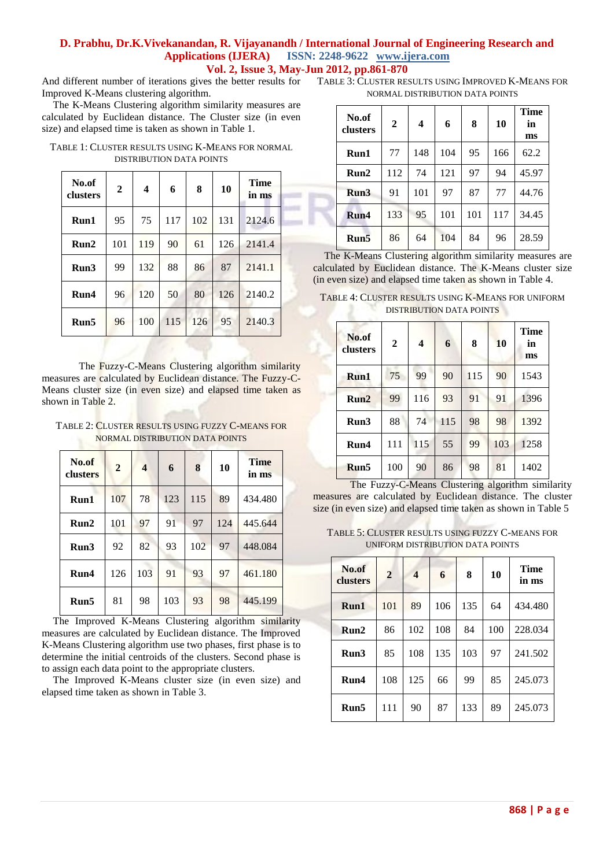And different number of iterations gives the better results for Improved K-Means clustering algorithm.

The K-Means Clustering algorithm similarity measures are calculated by Euclidean distance. The Cluster size (in even size) and elapsed time is taken as shown in Table 1.

TABLE 1: CLUSTER RESULTS USING K-MEANS FOR NORMAL DISTRIBUTION DATA POINTS

| No.of<br>clusters | $\mathbf{2}$ | 4   | 6   | 8   | 10  | Time<br>in ms |
|-------------------|--------------|-----|-----|-----|-----|---------------|
| Run1              | 95           | 75  | 117 | 102 | 131 | 2124.6        |
| Run2              | 101          | 119 | 90  | 61  | 126 | 2141.4        |
| Run3              | 99           | 132 | 88  | 86  | 87  | 2141.1        |
| Run4              | 96           | 120 | 50  | 80  | 126 | 2140.2        |
| Run5              | 96           | 100 | 115 | 126 | 95  | 2140.3        |

The Fuzzy-C-Means Clustering algorithm similarity measures are calculated by Euclidean distance. The Fuzzy-C-Means cluster size (in even size) and elapsed time taken as shown in Table 2.

TABLE 2: CLUSTER RESULTS USING FUZZY C-MEANS FOR NORMAL DISTRIBUTION DATA POINTS

| No.of<br>clusters | $\overline{2}$ | $\overline{\mathbf{4}}$ | 6   | 8   | 10  | <b>Time</b><br>in ms |
|-------------------|----------------|-------------------------|-----|-----|-----|----------------------|
| Run1              | 107            | 78                      | 123 | 115 | 89  | 434.480              |
| Run2              | 101            | 97                      | 91  | 97  | 124 | 445.644              |
| Run3              | 92             | 82                      | 93  | 102 | 97  | 448.084              |
| Run4              | 126            | 103                     | 91  | 93  | 97  | 461.180              |
| Run5              | 81             | 98                      | 103 | 93  | 98  | 445.199              |

The Improved K-Means Clustering algorithm similarity measures are calculated by Euclidean distance. The Improved K-Means Clustering algorithm use two phases, first phase is to determine the initial centroids of the clusters. Second phase is to assign each data point to the appropriate clusters.

The Improved K-Means cluster size (in even size) and elapsed time taken as shown in Table 3.

TABLE 3: CLUSTER RESULTS USING IMPROVED K-MEANS FOR NORMAL DISTRIBUTION DATA POINTS

| No.of<br>clusters | $\overline{2}$ | $\overline{\mathbf{4}}$ | 6   | 8   | 10  | <b>Time</b><br>in<br>ms |
|-------------------|----------------|-------------------------|-----|-----|-----|-------------------------|
| Run1              | 77             | 148                     | 104 | 95  | 166 | 62.2                    |
| Run2              | 112            | 74                      | 121 | 97  | 94  | 45.97                   |
| Run3              | 91             | 101                     | 97  | 87  | 77  | 44.76                   |
| Run4              | 133            | 95                      | 101 | 101 | 117 | 34.45                   |
| Run5              | 86             | 64                      | 104 | 84  | 96  | 28.59                   |

The K-Means Clustering algorithm similarity measures are calculated by Euclidean distance. The K-Means cluster size (in even size) and elapsed time taken as shown in Table 4.

TABLE 4: CLUSTER RESULTS USING K-MEANS FOR UNIFORM DISTRIBUTION DATA POINTS

| No.of<br>clusters | $\mathbf{2}$ | $\overline{\mathbf{4}}$ | 6   | 8   | 10  | Time<br>in<br>ms |
|-------------------|--------------|-------------------------|-----|-----|-----|------------------|
| Run1              | 75           | 99                      | 90  | 115 | 90  | 1543             |
| Run2              | 99           | 116                     | 93  | 91  | 91  | 1396             |
| Run3              | 88           | 74                      | 115 | 98  | 98  | 1392             |
| Run4              | 111          | 115                     | 55  | 99  | 103 | 1258             |
| Run5              | 100          | 90                      | 86  | 98  | 81  | 1402             |

The Fuzzy-C-Means Clustering algorithm similarity measures are calculated by Euclidean distance. The cluster size (in even size) and elapsed time taken as shown in Table 5

TABLE 5: CLUSTER RESULTS USING FUZZY C-MEANS FOR UNIFORM DISTRIBUTION DATA POINTS

| No.of<br>clusters | $\overline{2}$ | $\overline{\mathbf{4}}$ | 6   | 8   | 10  | <b>Time</b><br>in ms |
|-------------------|----------------|-------------------------|-----|-----|-----|----------------------|
| Run1              | 101            | 89                      | 106 | 135 | 64  | 434.480              |
| Run2              | 86             | 102                     | 108 | 84  | 100 | 228.034              |
| Run3              | 85             | 108                     | 135 | 103 | 97  | 241.502              |
| Run4              | 108            | 125                     | 66  | 99  | 85  | 245.073              |
| Run5              | 111            | 90                      | 87  | 133 | 89  | 245.073              |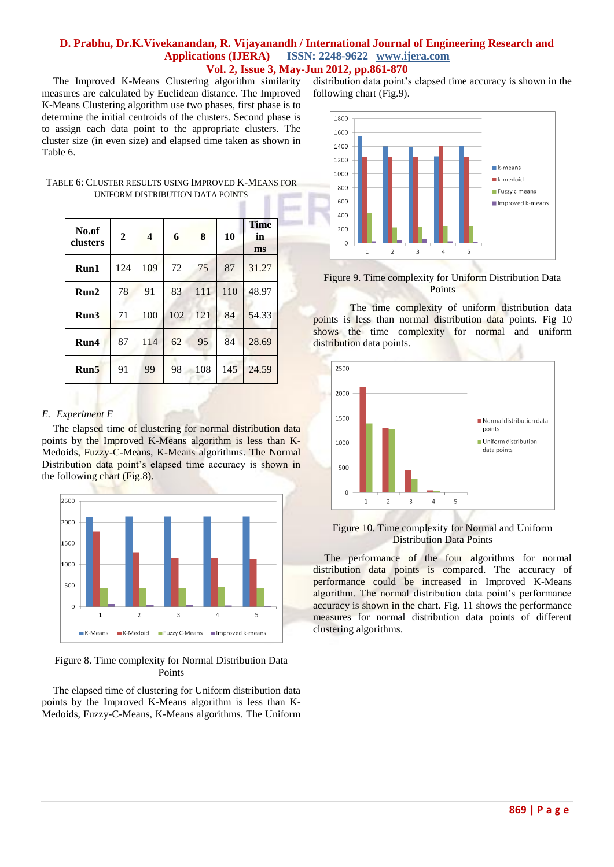The Improved K-Means Clustering algorithm similarity measures are calculated by Euclidean distance. The Improved K-Means Clustering algorithm use two phases, first phase is to determine the initial centroids of the clusters. Second phase is to assign each data point to the appropriate clusters. The cluster size (in even size) and elapsed time taken as shown in Table 6.

| TABLE 6: CLUSTER RESULTS USING IMPROVED K-MEANS FOR |
|-----------------------------------------------------|
| UNIFORM DISTRIBUTION DATA POINTS                    |
|                                                     |

٠

| No.of<br>clusters | $\boldsymbol{2}$ | $\overline{\mathbf{4}}$ | 6   | 8   | 10  | <b>Time</b><br>in<br>ms |
|-------------------|------------------|-------------------------|-----|-----|-----|-------------------------|
| Run1              | 124              | 109                     | 72  | 75  | 87  | 31.27                   |
| Run2              | 78               | 91                      | 83  | 111 | 110 | 48.97                   |
| Run3              | 71               | 100                     | 102 | 121 | 84  | 54.33                   |
| Run4              | 87               | 114                     | 62  | 95  | 84  | 28.69                   |
| Run5              | 91               | 99                      | 98  | 108 | 145 | 24.59                   |

#### *E. Experiment E*

The elapsed time of clustering for normal distribution data points by the Improved K-Means algorithm is less than K-Medoids, Fuzzy-C-Means, K-Means algorithms. The Normal Distribution data point's elapsed time accuracy is shown in the following chart (Fig.8).



Figure 8. Time complexity for Normal Distribution Data Points

The elapsed time of clustering for Uniform distribution data points by the Improved K-Means algorithm is less than K-Medoids, Fuzzy-C-Means, K-Means algorithms. The Uniform distribution data point's elapsed time accuracy is shown in the following chart (Fig.9).



#### Figure 9. Time complexity for Uniform Distribution Data **Points**

The time complexity of uniform distribution data points is less than normal distribution data points. Fig 10 shows the time complexity for normal and uniform distribution data points.



#### Figure 10. Time complexity for Normal and Uniform Distribution Data Points

The performance of the four algorithms for normal distribution data points is compared. The accuracy of performance could be increased in Improved K-Means algorithm. The normal distribution data point's performance accuracy is shown in the chart. Fig. 11 shows the performance measures for normal distribution data points of different clustering algorithms.